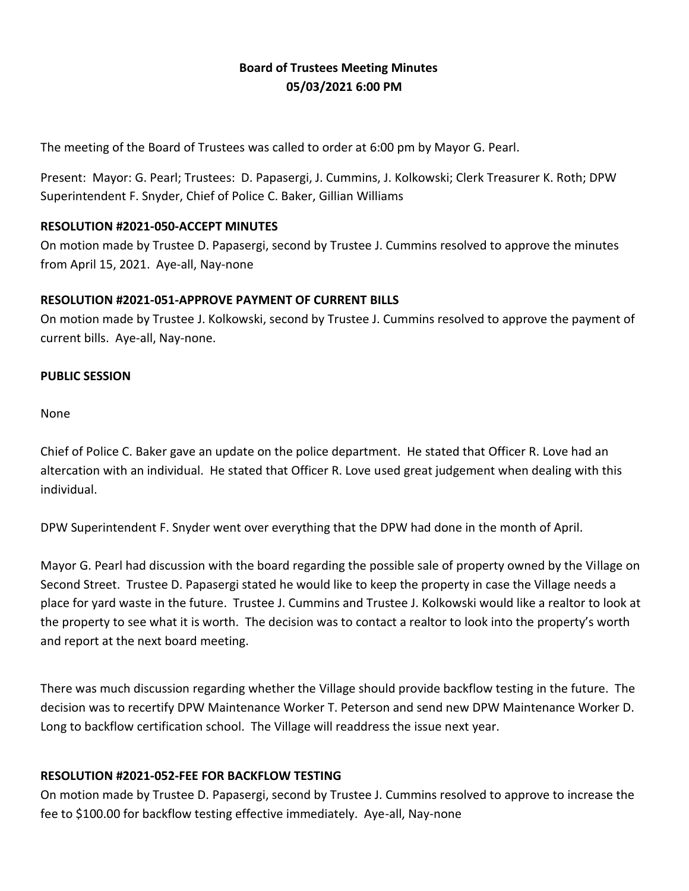# **Board of Trustees Meeting Minutes 05/03/2021 6:00 PM**

The meeting of the Board of Trustees was called to order at 6:00 pm by Mayor G. Pearl.

Present: Mayor: G. Pearl; Trustees: D. Papasergi, J. Cummins, J. Kolkowski; Clerk Treasurer K. Roth; DPW Superintendent F. Snyder, Chief of Police C. Baker, Gillian Williams

### **RESOLUTION #2021-050-ACCEPT MINUTES**

On motion made by Trustee D. Papasergi, second by Trustee J. Cummins resolved to approve the minutes from April 15, 2021. Aye-all, Nay-none

## **RESOLUTION #2021-051-APPROVE PAYMENT OF CURRENT BILLS**

On motion made by Trustee J. Kolkowski, second by Trustee J. Cummins resolved to approve the payment of current bills. Aye-all, Nay-none.

### **PUBLIC SESSION**

None

Chief of Police C. Baker gave an update on the police department. He stated that Officer R. Love had an altercation with an individual. He stated that Officer R. Love used great judgement when dealing with this individual.

DPW Superintendent F. Snyder went over everything that the DPW had done in the month of April.

Mayor G. Pearl had discussion with the board regarding the possible sale of property owned by the Village on Second Street. Trustee D. Papasergi stated he would like to keep the property in case the Village needs a place for yard waste in the future. Trustee J. Cummins and Trustee J. Kolkowski would like a realtor to look at the property to see what it is worth. The decision was to contact a realtor to look into the property's worth and report at the next board meeting.

There was much discussion regarding whether the Village should provide backflow testing in the future. The decision was to recertify DPW Maintenance Worker T. Peterson and send new DPW Maintenance Worker D. Long to backflow certification school. The Village will readdress the issue next year.

# **RESOLUTION #2021-052-FEE FOR BACKFLOW TESTING**

On motion made by Trustee D. Papasergi, second by Trustee J. Cummins resolved to approve to increase the fee to \$100.00 for backflow testing effective immediately. Aye-all, Nay-none